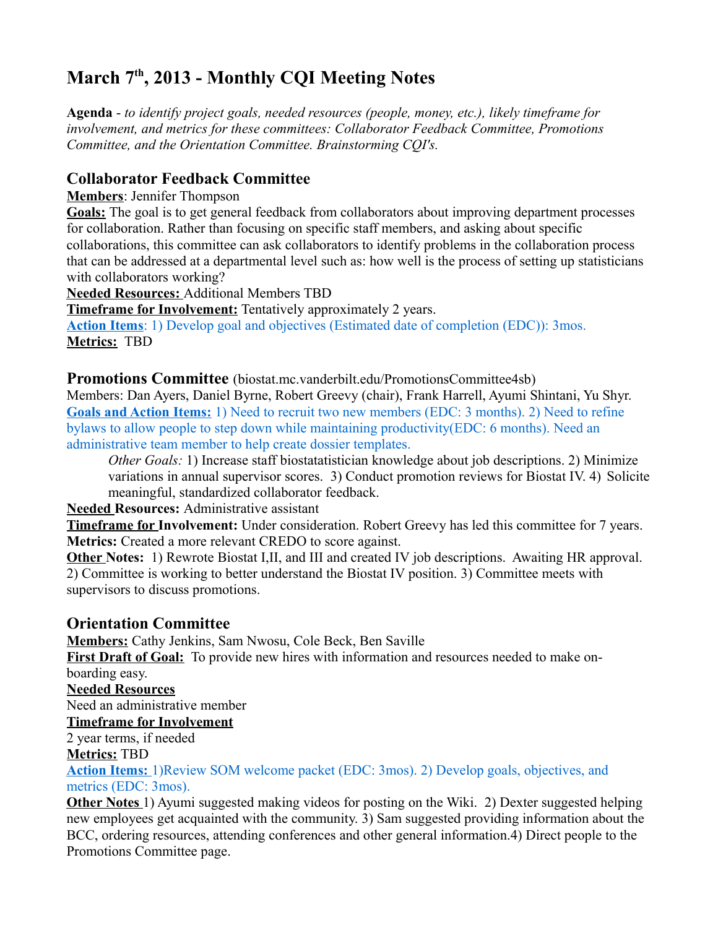# **March 7th, 2013 - Monthly CQI Meeting Notes**

**Agenda** - *to identify project goals, needed resources (people, money, etc.), likely timeframe for involvement, and metrics for these committees: Collaborator Feedback Committee, Promotions Committee, and the Orientation Committee. Brainstorming CQI's.*

## **Collaborator Feedback Committee**

#### **Members**: Jennifer Thompson

**Goals:** The goal is to get general feedback from collaborators about improving department processes for collaboration. Rather than focusing on specific staff members, and asking about specific collaborations, this committee can ask collaborators to identify problems in the collaboration process that can be addressed at a departmental level such as: how well is the process of setting up statisticians with collaborators working?

**Needed Resources: Additional Members TBD** 

**Timeframe for Involvement:** Tentatively approximately 2 years.

**Action Items**: 1) Develop goal and objectives (Estimated date of completion (EDC)): 3mos. **Metrics:** TBD

**Promotions Committee** (biostat.mc.vanderbilt.edu/PromotionsCommittee4sb)

Members: Dan Ayers, Daniel Byrne, Robert Greevy (chair), Frank Harrell, Ayumi Shintani, Yu Shyr. **Goals and Action Items:** 1) Need to recruit two new members (EDC: 3 months). 2) Need to refine bylaws to allow people to step down while maintaining productivity(EDC: 6 months). Need an administrative team member to help create dossier templates.

*Other Goals: 1)* Increase staff biostatatistician knowledge about job descriptions. 2) Minimize variations in annual supervisor scores. 3) Conduct promotion reviews for Biostat IV. 4) Solicite meaningful, standardized collaborator feedback.

**Needed Resources:** Administrative assistant

**Timeframe for Involvement:** Under consideration. Robert Greevy has led this committee for 7 years. **Metrics:** Created a more relevant CREDO to score against.

**Other Notes:** 1) Rewrote Biostat I,II, and III and created IV job descriptions. Awaiting HR approval. 2) Committee is working to better understand the Biostat IV position. 3) Committee meets with supervisors to discuss promotions.

### **Orientation Committee**

**Members:** Cathy Jenkins, Sam Nwosu, Cole Beck, Ben Saville

First Draft of Goal: To provide new hires with information and resources needed to make onboarding easy.

#### **Needed Resources**

Need an administrative member

#### **Timeframe for Involvement**

2 year terms, if needed

**Metrics:** TBD

 **Action Items:** 1)Review SOM welcome packet (EDC: 3mos). 2) Develop goals, objectives, and metrics (EDC: 3mos).

**Other Notes** 1) Ayumi suggested making videos for posting on the Wiki. 2) Dexter suggested helping new employees get acquainted with the community. 3) Sam suggested providing information about the BCC, ordering resources, attending conferences and other general information.4) Direct people to the Promotions Committee page.